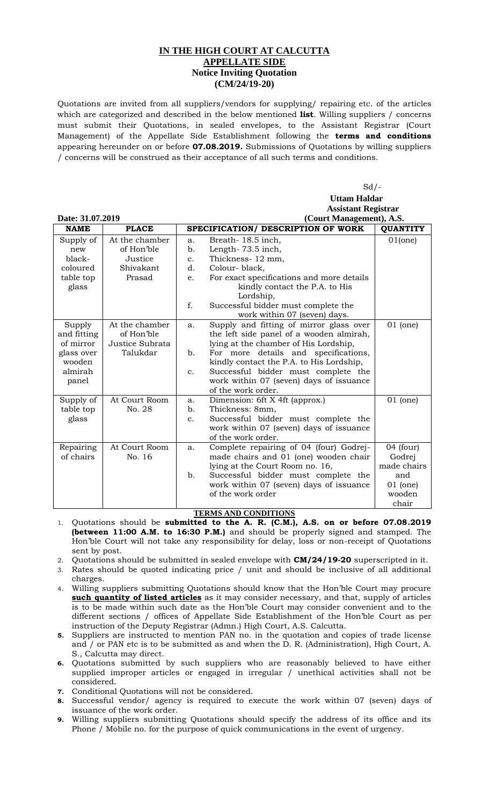## **IN THE HIGH COURT AT CALCUTTA APPELLATE SIDE Notice Inviting Quotation (CM/24/19-20)**

Quotations are invited from all suppliers/vendors for supplying/ repairing etc. of the articles which are categorized and described in the below mentioned **list**. Willing suppliers / concerns must submit their Quotations, in sealed envelopes, to the Assistant Registrar (Court Management) of the Appellate Side Establishment following the **terms and conditions** appearing hereunder on or before **07.08.2019.** Submissions of Quotations by willing suppliers / concerns will be construed as their acceptance of all such terms and conditions.

 $Sd$  /- **Uttam Haldar Assistant Registrar Date: 31.07.2019 (Court Management), A.S.**

| 2000 - 211  |                 |               | $\overline{\mathcal{L}}$                  |                 |  |
|-------------|-----------------|---------------|-------------------------------------------|-----------------|--|
| <b>NAME</b> | <b>PLACE</b>    |               | SPECIFICATION/ DESCRIPTION OF WORK        | <b>QUANTITY</b> |  |
| Supply of   | At the chamber  | a.            | Breath-18.5 inch,                         | 01(one)         |  |
| new         | of Hon'ble      | b.            | Length-73.5 inch,                         |                 |  |
| black-      | Justice         | $C_{\bullet}$ | Thickness-12 mm,                          |                 |  |
| coloured    | Shivakant       | d.            | Colour-black,                             |                 |  |
| table top   | Prasad          | e.            | For exact specifications and more details |                 |  |
| glass       |                 |               | kindly contact the P.A. to His            |                 |  |
|             |                 |               | Lordship,                                 |                 |  |
|             |                 | f.            | Successful bidder must complete the       |                 |  |
|             |                 |               | work within 07 (seven) days.              |                 |  |
| Supply      | At the chamber  | a.            | Supply and fitting of mirror glass over   | $01$ (one)      |  |
| and fitting | of Hon'ble      |               | the left side panel of a wooden almirah,  |                 |  |
| of mirror   | Justice Subrata |               | lying at the chamber of His Lordship,     |                 |  |
| glass over  | Talukdar        | b.            | For more details and specifications,      |                 |  |
| wooden      |                 |               | kindly contact the P.A. to His Lordship,  |                 |  |
| almirah     |                 | $C_{\bullet}$ | Successful bidder must complete the       |                 |  |
| panel       |                 |               | work within 07 (seven) days of issuance   |                 |  |
|             |                 |               | of the work order.                        |                 |  |
| Supply of   | At Court Room   | a.            | Dimension: 6ft X 4ft (approx.)            | $01$ (one)      |  |
| table top   | No. 28          | b.            | Thickness: 8mm,                           |                 |  |
| glass       |                 | c.            | Successful bidder must complete the       |                 |  |
|             |                 |               | work within 07 (seven) days of issuance   |                 |  |
|             |                 |               | of the work order.                        |                 |  |
| Repairing   | At Court Room   | a.            | Complete repairing of 04 (four) Godrej-   | $04$ (four)     |  |
| of chairs   | No. 16          |               | made chairs and 01 (one) wooden chair     | Godrej          |  |
|             |                 |               | lying at the Court Room no. 16,           | made chairs     |  |
|             |                 | b.            | Successful bidder must complete the       | and             |  |
|             |                 |               | work within 07 (seven) days of issuance   | $01$ (one)      |  |
|             |                 |               | of the work order                         | wooden          |  |
|             |                 |               |                                           | chair           |  |

## **TERMS AND CONDITIONS**

1. Quotations should be **submitted to the A. R. (C.M.), A.S. on or before 07.08.2019 (between 11:00 A.M. to 16:30 P.M.)** and should be properly signed and stamped. The Hon'ble Court will not take any responsibility for delay, loss or non-receipt of Quotations sent by post.

2. Quotations should be submitted in sealed envelope with **CM/24/19-20** superscripted in it.

- 3. Rates should be quoted indicating price / unit and should be inclusive of all additional charges.
- 4. Willing suppliers submitting Quotations should know that the Hon'ble Court may procure **such quantity of listed articles** as it may consider necessary, and that, supply of articles is to be made within such date as the Hon'ble Court may consider convenient and to the different sections / offices of Appellate Side Establishment of the Hon'ble Court as per instruction of the Deputy Registrar (Admn.) High Court, A.S. Calcutta.
- **5.** Suppliers are instructed to mention PAN no. in the quotation and copies of trade license and / or PAN etc is to be submitted as and when the D. R. (Administration), High Court, A. S., Calcutta may direct.
- **6.** Quotations submitted by such suppliers who are reasonably believed to have either supplied improper articles or engaged in irregular / unethical activities shall not be considered.
- **7.** Conditional Quotations will not be considered.
- **8.** Successful vendor/ agency is required to execute the work within 07 (seven) days of issuance of the work order.
- **9.** Willing suppliers submitting Quotations should specify the address of its office and its Phone / Mobile no. for the purpose of quick communications in the event of urgency.